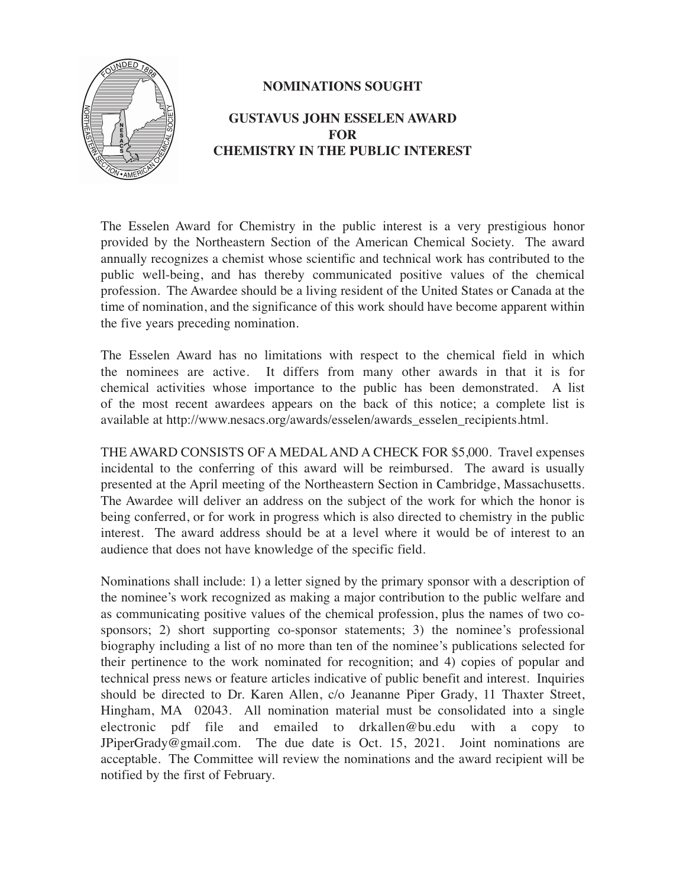

## **NOMINATIONS SOUGHT**

## **GUSTAVUS JOHN ESSELEN AWARD FOR CHEMISTRY IN THE PUBLIC INTEREST**

The Esselen Award for Chemistry in the public interest is a very prestigious honor provided by the Northeastern Section of the American Chemical Society. The award annually recognizes a chemist whose scientific and technical work has contributed to the public well-being, and has thereby communicated positive values of the chemical profession. The Awardee should be a living resident of the United States or Canada at the time of nomination, and the significance of this work should have become apparent within the five years preceding nomination.

The Esselen Award has no limitations with respect to the chemical field in which the nominees are active. It differs from many other awards in that it is for chemical activities whose importance to the public has been demonstrated. A list of the most recent awardees appears on the back of this notice; a complete list is available at http://www.nesacs.org/awards/esselen/awards\_esselen\_recipients.html.

THE AWARD CONSISTS OF A MEDAL AND A CHECK FOR \$5,000. Travel expenses incidental to the conferring of this award will be reimbursed. The award is usually presented at the April meeting of the Northeastern Section in Cambridge, Massachusetts. The Awardee will deliver an address on the subject of the work for which the honor is being conferred, or for work in progress which is also directed to chemistry in the public interest. The award address should be at a level where it would be of interest to an audience that does not have knowledge of the specific field.

Nominations shall include: 1) a letter signed by the primary sponsor with a description of the nominee's work recognized as making a major contribution to the public welfare and as communicating positive values of the chemical profession, plus the names of two cosponsors; 2) short supporting co-sponsor statements; 3) the nominee's professional biography including a list of no more than ten of the nominee's publications selected for their pertinence to the work nominated for recognition; and 4) copies of popular and technical press news or feature articles indicative of public benefit and interest. Inquiries should be directed to Dr. Karen Allen, c/o Jeananne Piper Grady, 11 Thaxter Street, Hingham, MA 02043. All nomination material must be consolidated into a single electronic pdf file and emailed to drkallen@bu.edu with a copy to JPiperGrady@gmail.com. The due date is Oct. 15, 2021. Joint nominations are acceptable. The Committee will review the nominations and the award recipient will be notified by the first of February.